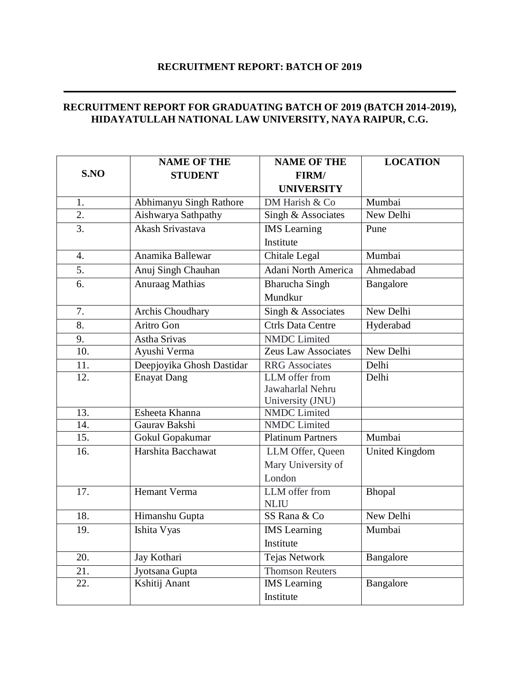## **RECRUITMENT REPORT: BATCH OF 2019**

 $\mathcal{L}_\mathcal{L} = \mathcal{L}_\mathcal{L} = \mathcal{L}_\mathcal{L} = \mathcal{L}_\mathcal{L} = \mathcal{L}_\mathcal{L} = \mathcal{L}_\mathcal{L} = \mathcal{L}_\mathcal{L} = \mathcal{L}_\mathcal{L} = \mathcal{L}_\mathcal{L} = \mathcal{L}_\mathcal{L} = \mathcal{L}_\mathcal{L} = \mathcal{L}_\mathcal{L} = \mathcal{L}_\mathcal{L} = \mathcal{L}_\mathcal{L} = \mathcal{L}_\mathcal{L} = \mathcal{L}_\mathcal{L} = \mathcal{L}_\mathcal{L}$ 

## **RECRUITMENT REPORT FOR GRADUATING BATCH OF 2019 (BATCH 2014-2019), HIDAYATULLAH NATIONAL LAW UNIVERSITY, NAYA RAIPUR, C.G.**

|                   | <b>NAME OF THE</b>        | <b>NAME OF THE</b>       | <b>LOCATION</b>       |
|-------------------|---------------------------|--------------------------|-----------------------|
| S.NO              | <b>STUDENT</b>            | FIRM/                    |                       |
|                   |                           | <b>UNIVERSITY</b>        |                       |
| 1.                | Abhimanyu Singh Rathore   | DM Harish & Co           | Mumbai                |
| $\overline{2}$ .  | Aishwarya Sathpathy       | Singh & Associates       | New Delhi             |
| 3.                | Akash Srivastava          | <b>IMS</b> Learning      | Pune                  |
|                   |                           | Institute                |                       |
| 4.                | Anamika Ballewar          | Chitale Legal            | Mumbai                |
| 5.                | Anuj Singh Chauhan        | Adani North America      | Ahmedabad             |
| 6.                | Anuraag Mathias           | <b>Bharucha Singh</b>    | Bangalore             |
|                   |                           | Mundkur                  |                       |
| 7.                | Archis Choudhary          | Singh & Associates       | New Delhi             |
| 8.                | Aritro Gon                | <b>Ctrls Data Centre</b> | Hyderabad             |
| 9.                | Astha Srivas              | <b>NMDC</b> Limited      |                       |
| $\overline{10}$ . | Ayushi Verma              | Zeus Law Associates      | New Delhi             |
| 11.               | Deepjoyika Ghosh Dastidar | <b>RRG</b> Associates    | Delhi                 |
| 12.               | <b>Enayat Dang</b>        | LLM offer from           | Delhi                 |
|                   |                           | Jawaharlal Nehru         |                       |
|                   |                           | University (JNU)         |                       |
| 13.               | Esheeta Khanna            | <b>NMDC</b> Limited      |                       |
| 14.               | Gaurav Bakshi             | <b>NMDC</b> Limited      |                       |
| 15.               | Gokul Gopakumar           | <b>Platinum Partners</b> | Mumbai                |
| 16.               | Harshita Bacchawat        | LLM Offer, Queen         | <b>United Kingdom</b> |
|                   |                           | Mary University of       |                       |
|                   |                           | London                   |                       |
| 17.               | <b>Hemant Verma</b>       | LLM offer from           | Bhopal                |
|                   |                           | <b>NLIU</b>              |                       |
| 18.               | Himanshu Gupta            | SS Rana & Co             | New Delhi             |
| 19.               | Ishita Vyas               | <b>IMS</b> Learning      | Mumbai                |
|                   |                           | Institute                |                       |
| 20.               | Jay Kothari               | Tejas Network            | Bangalore             |
| 21.               | Jyotsana Gupta            | <b>Thomson Reuters</b>   |                       |
| 22.               | Kshitij Anant             | <b>IMS</b> Learning      | Bangalore             |
|                   |                           | Institute                |                       |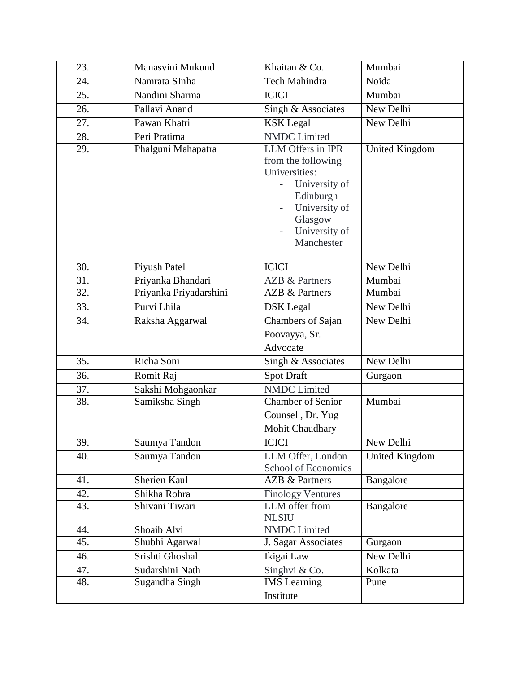| 23. | Manasvini Mukund       | Khaitan & Co.                                                                                                                                     | Mumbai                |
|-----|------------------------|---------------------------------------------------------------------------------------------------------------------------------------------------|-----------------------|
| 24. | Namrata SInha          | Tech Mahindra                                                                                                                                     | Noida                 |
| 25. | Nandini Sharma         | <b>ICICI</b>                                                                                                                                      | Mumbai                |
| 26. | Pallavi Anand          | Singh & Associates                                                                                                                                | New Delhi             |
| 27. | Pawan Khatri           | <b>KSK</b> Legal                                                                                                                                  | New Delhi             |
| 28. | Peri Pratima           | <b>NMDC</b> Limited                                                                                                                               |                       |
| 29. | Phalguni Mahapatra     | LLM Offers in IPR<br>from the following<br>Universities:<br>University of<br>Edinburgh<br>University of<br>Glasgow<br>University of<br>Manchester | United Kingdom        |
| 30. | Piyush Patel           | <b>ICICI</b>                                                                                                                                      | New Delhi             |
| 31. | Priyanka Bhandari      | <b>AZB &amp; Partners</b>                                                                                                                         | Mumbai                |
| 32. | Priyanka Priyadarshini | <b>AZB &amp; Partners</b>                                                                                                                         | Mumbai                |
| 33. | Purvi Lhila            | <b>DSK</b> Legal                                                                                                                                  | New Delhi             |
| 34. | Raksha Aggarwal        | Chambers of Sajan<br>Poovayya, Sr.<br>Advocate                                                                                                    | New Delhi             |
| 35. | Richa Soni             | Singh & Associates                                                                                                                                | New Delhi             |
| 36. | Romit Raj              | <b>Spot Draft</b>                                                                                                                                 | Gurgaon               |
| 37. | Sakshi Mohgaonkar      | <b>NMDC</b> Limited                                                                                                                               |                       |
| 38. | Samiksha Singh         | <b>Chamber of Senior</b><br>Counsel, Dr. Yug<br>Mohit Chaudhary                                                                                   | Mumbai                |
| 39. | Saumya Tandon          | <b>ICICI</b>                                                                                                                                      | New Delhi             |
| 40. | Saumya Tandon          | LLM Offer, London<br>School of Economics                                                                                                          | <b>United Kingdom</b> |
| 41. | Sherien Kaul           | <b>AZB &amp; Partners</b>                                                                                                                         | Bangalore             |
| 42. | Shikha Rohra           | Finology Ventures                                                                                                                                 |                       |
| 43. | Shivani Tiwari         | LLM offer from<br><b>NLSIU</b>                                                                                                                    | Bangalore             |
| 44. | Shoaib Alvi            | <b>NMDC</b> Limited                                                                                                                               |                       |
| 45. | Shubhi Agarwal         | J. Sagar Associates                                                                                                                               | Gurgaon               |
| 46. | Srishti Ghoshal        | Ikigai Law                                                                                                                                        | New Delhi             |
| 47. | Sudarshini Nath        | Singhvi & Co.                                                                                                                                     | Kolkata               |
| 48. | Sugandha Singh         | <b>IMS</b> Learning<br>Institute                                                                                                                  | Pune                  |